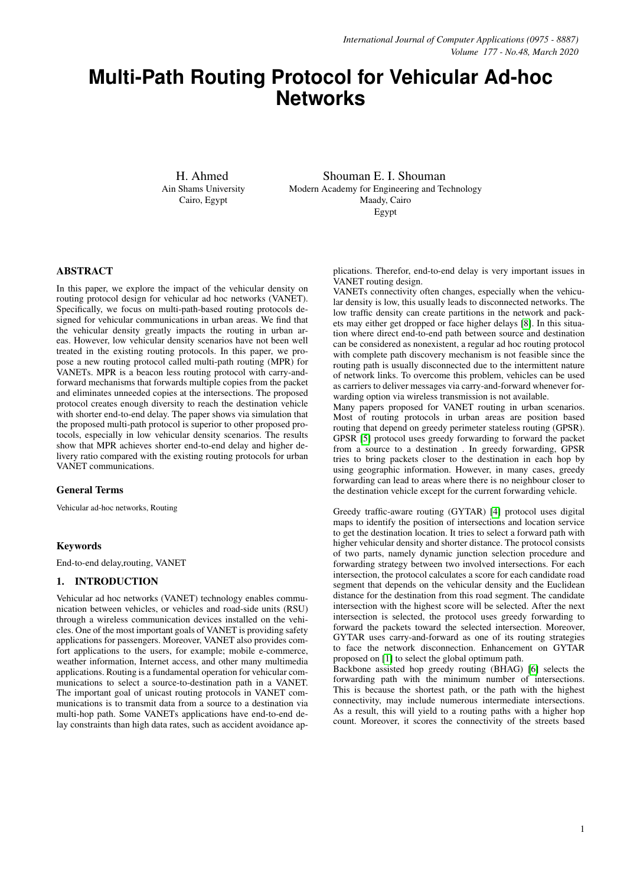# **Multi-Path Routing Protocol for Vehicular Ad-hoc Networks**

H. Ahmed Ain Shams University Cairo, Egypt

Shouman E. I. Shouman Modern Academy for Engineering and Technology Maady, Cairo Egypt

# ABSTRACT

In this paper, we explore the impact of the vehicular density on routing protocol design for vehicular ad hoc networks (VANET). Specifically, we focus on multi-path-based routing protocols designed for vehicular communications in urban areas. We find that the vehicular density greatly impacts the routing in urban areas. However, low vehicular density scenarios have not been well treated in the existing routing protocols. In this paper, we propose a new routing protocol called multi-path routing (MPR) for VANETs. MPR is a beacon less routing protocol with carry-andforward mechanisms that forwards multiple copies from the packet and eliminates unneeded copies at the intersections. The proposed protocol creates enough diversity to reach the destination vehicle with shorter end-to-end delay. The paper shows via simulation that the proposed multi-path protocol is superior to other proposed protocols, especially in low vehicular density scenarios. The results show that MPR achieves shorter end-to-end delay and higher delivery ratio compared with the existing routing protocols for urban VANET communications.

## General Terms

Vehicular ad-hoc networks, Routing

# Keywords

End-to-end delay,routing, VANET

# 1. INTRODUCTION

Vehicular ad hoc networks (VANET) technology enables communication between vehicles, or vehicles and road-side units (RSU) through a wireless communication devices installed on the vehicles. One of the most important goals of VANET is providing safety applications for passengers. Moreover, VANET also provides comfort applications to the users, for example; mobile e-commerce, weather information, Internet access, and other many multimedia applications. Routing is a fundamental operation for vehicular communications to select a source-to-destination path in a VANET. The important goal of unicast routing protocols in VANET communications is to transmit data from a source to a destination via multi-hop path. Some VANETs applications have end-to-end delay constraints than high data rates, such as accident avoidance applications. Therefor, end-to-end delay is very important issues in VANET routing design.

VANETs connectivity often changes, especially when the vehicular density is low, this usually leads to disconnected networks. The low traffic density can create partitions in the network and packets may either get dropped or face higher delays [\[8\]](#page-5-0). In this situation where direct end-to-end path between source and destination can be considered as nonexistent, a regular ad hoc routing protocol with complete path discovery mechanism is not feasible since the routing path is usually disconnected due to the intermittent nature of network links. To overcome this problem, vehicles can be used as carriers to deliver messages via carry-and-forward whenever forwarding option via wireless transmission is not available.

Many papers proposed for VANET routing in urban scenarios. Most of routing protocols in urban areas are position based routing that depend on greedy perimeter stateless routing (GPSR). GPSR [\[5\]](#page-5-1) protocol uses greedy forwarding to forward the packet from a source to a destination . In greedy forwarding, GPSR tries to bring packets closer to the destination in each hop by using geographic information. However, in many cases, greedy forwarding can lead to areas where there is no neighbour closer to the destination vehicle except for the current forwarding vehicle.

Greedy traffic-aware routing (GYTAR) [\[4\]](#page-4-0) protocol uses digital maps to identify the position of intersections and location service to get the destination location. It tries to select a forward path with higher vehicular density and shorter distance. The protocol consists of two parts, namely dynamic junction selection procedure and forwarding strategy between two involved intersections. For each intersection, the protocol calculates a score for each candidate road segment that depends on the vehicular density and the Euclidean distance for the destination from this road segment. The candidate intersection with the highest score will be selected. After the next intersection is selected, the protocol uses greedy forwarding to forward the packets toward the selected intersection. Moreover, GYTAR uses carry-and-forward as one of its routing strategies to face the network disconnection. Enhancement on GYTAR proposed on [\[1\]](#page-4-1) to select the global optimum path.

Backbone assisted hop greedy routing (BHAG) [\[6\]](#page-5-2) selects the forwarding path with the minimum number of intersections. This is because the shortest path, or the path with the highest connectivity, may include numerous intermediate intersections. As a result, this will yield to a routing paths with a higher hop count. Moreover, it scores the connectivity of the streets based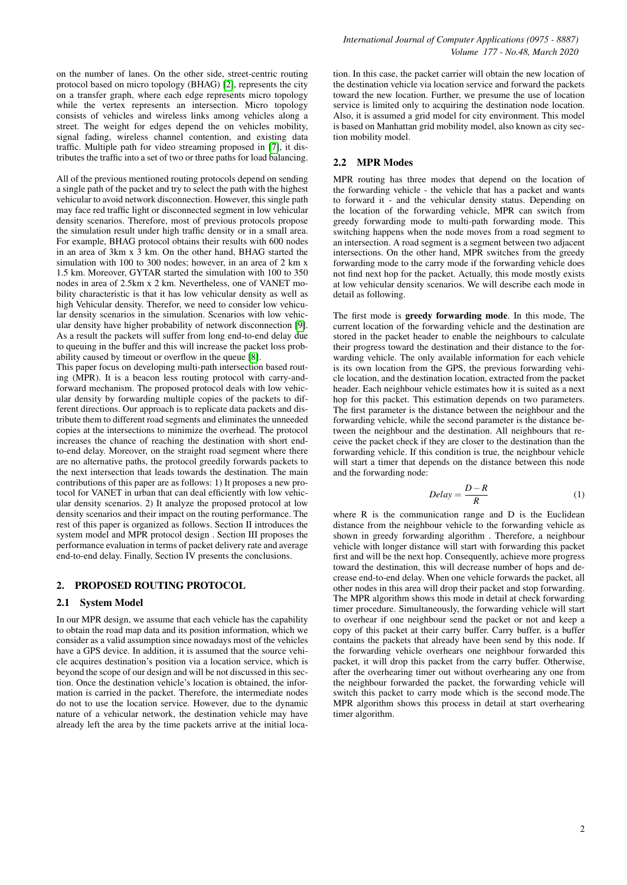on the number of lanes. On the other side, street-centric routing protocol based on micro topology (BHAG) [\[2\]](#page-4-2), represents the city on a transfer graph, where each edge represents micro topology while the vertex represents an intersection. Micro topology consists of vehicles and wireless links among vehicles along a street. The weight for edges depend the on vehicles mobility, signal fading, wireless channel contention, and existing data traffic. Multiple path for video streaming proposed in [\[7\]](#page-5-3), it distributes the traffic into a set of two or three paths for load balancing.

All of the previous mentioned routing protocols depend on sending a single path of the packet and try to select the path with the highest vehicular to avoid network disconnection. However, this single path may face red traffic light or disconnected segment in low vehicular density scenarios. Therefore, most of previous protocols propose the simulation result under high traffic density or in a small area. For example, BHAG protocol obtains their results with 600 nodes in an area of 3km x 3 km. On the other hand, BHAG started the simulation with 100 to 300 nodes; however, in an area of 2 km x 1.5 km. Moreover, GYTAR started the simulation with 100 to 350 nodes in area of 2.5km x 2 km. Nevertheless, one of VANET mobility characteristic is that it has low vehicular density as well as high Vehicular density. Therefor, we need to consider low vehicular density scenarios in the simulation. Scenarios with low vehicular density have higher probability of network disconnection [\[9\]](#page-5-4). As a result the packets will suffer from long end-to-end delay due to queuing in the buffer and this will increase the packet loss probability caused by timeout or overflow in the queue [\[8\]](#page-5-0).

This paper focus on developing multi-path intersection based routing (MPR). It is a beacon less routing protocol with carry-andforward mechanism. The proposed protocol deals with low vehicular density by forwarding multiple copies of the packets to different directions. Our approach is to replicate data packets and distribute them to different road segments and eliminates the unneeded copies at the intersections to minimize the overhead. The protocol increases the chance of reaching the destination with short endto-end delay. Moreover, on the straight road segment where there are no alternative paths, the protocol greedily forwards packets to the next intersection that leads towards the destination. The main contributions of this paper are as follows: 1) It proposes a new protocol for VANET in urban that can deal efficiently with low vehicular density scenarios. 2) It analyze the proposed protocol at low density scenarios and their impact on the routing performance. The rest of this paper is organized as follows. Section II introduces the system model and MPR protocol design . Section III proposes the performance evaluation in terms of packet delivery rate and average end-to-end delay. Finally, Section IV presents the conclusions.

#### 2. PROPOSED ROUTING PROTOCOL

#### 2.1 System Model

In our MPR design, we assume that each vehicle has the capability to obtain the road map data and its position information, which we consider as a valid assumption since nowadays most of the vehicles have a GPS device. In addition, it is assumed that the source vehicle acquires destination's position via a location service, which is beyond the scope of our design and will be not discussed in this section. Once the destination vehicle's location is obtained, the information is carried in the packet. Therefore, the intermediate nodes do not to use the location service. However, due to the dynamic nature of a vehicular network, the destination vehicle may have already left the area by the time packets arrive at the initial location. In this case, the packet carrier will obtain the new location of the destination vehicle via location service and forward the packets toward the new location. Further, we presume the use of location service is limited only to acquiring the destination node location. Also, it is assumed a grid model for city environment. This model is based on Manhattan grid mobility model, also known as city section mobility model.

#### 2.2 MPR Modes

MPR routing has three modes that depend on the location of the forwarding vehicle - the vehicle that has a packet and wants to forward it - and the vehicular density status. Depending on the location of the forwarding vehicle, MPR can switch from greedy forwarding mode to multi-path forwarding mode. This switching happens when the node moves from a road segment to an intersection. A road segment is a segment between two adjacent intersections. On the other hand, MPR switches from the greedy forwarding mode to the carry mode if the forwarding vehicle does not find next hop for the packet. Actually, this mode mostly exists at low vehicular density scenarios. We will describe each mode in detail as following.

The first mode is greedy forwarding mode. In this mode, The current location of the forwarding vehicle and the destination are stored in the packet header to enable the neighbours to calculate their progress toward the destination and their distance to the forwarding vehicle. The only available information for each vehicle is its own location from the GPS, the previous forwarding vehicle location, and the destination location, extracted from the packet header. Each neighbour vehicle estimates how it is suited as a next hop for this packet. This estimation depends on two parameters. The first parameter is the distance between the neighbour and the forwarding vehicle, while the second parameter is the distance between the neighbour and the destination. All neighbours that receive the packet check if they are closer to the destination than the forwarding vehicle. If this condition is true, the neighbour vehicle will start a timer that depends on the distance between this node and the forwarding node:

$$
Delay = \frac{D - R}{R} \tag{1}
$$

where R is the communication range and D is the Euclidean distance from the neighbour vehicle to the forwarding vehicle as shown in greedy forwarding algorithm . Therefore, a neighbour vehicle with longer distance will start with forwarding this packet first and will be the next hop. Consequently, achieve more progress toward the destination, this will decrease number of hops and decrease end-to-end delay. When one vehicle forwards the packet, all other nodes in this area will drop their packet and stop forwarding. The MPR algorithm shows this mode in detail at check forwarding timer procedure. Simultaneously, the forwarding vehicle will start to overhear if one neighbour send the packet or not and keep a copy of this packet at their carry buffer. Carry buffer, is a buffer contains the packets that already have been send by this node. If the forwarding vehicle overhears one neighbour forwarded this packet, it will drop this packet from the carry buffer. Otherwise, after the overhearing timer out without overhearing any one from the neighbour forwarded the packet, the forwarding vehicle will switch this packet to carry mode which is the second mode.The MPR algorithm shows this process in detail at start overhearing timer algorithm.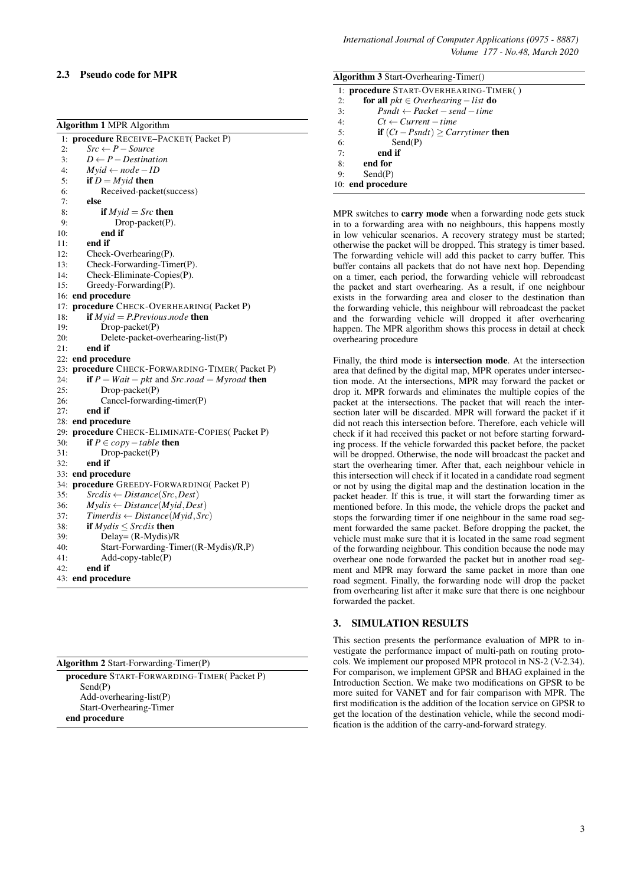## 2.3 Pseudo code for MPR

| <b>Algorithm 1 MPR Algorithm</b>      |                                                               |  |  |  |
|---------------------------------------|---------------------------------------------------------------|--|--|--|
| 1: procedure RECEIVE-PACKET(Packet P) |                                                               |  |  |  |
| 2:                                    | $Src \leftarrow P - Source$                                   |  |  |  |
| 3:                                    | $D \leftarrow P - Destination$                                |  |  |  |
| 4:                                    | $M$ yid $\leftarrow$ node $-ID$                               |  |  |  |
| 5:                                    | if $D = M$ <i>yid</i> then                                    |  |  |  |
| 6:                                    | Received-packet(success)                                      |  |  |  |
| 7:                                    | else                                                          |  |  |  |
| 8:                                    | if $M$ <i>yid</i> = <i>Src</i> then                           |  |  |  |
| 9:                                    | Drop-packet(P).                                               |  |  |  |
| 10:                                   | end if                                                        |  |  |  |
| 11:                                   | end if                                                        |  |  |  |
| 12:                                   | $Check-Overhearing(P).$                                       |  |  |  |
| 13:                                   | Check-Forwarding-Timer(P).                                    |  |  |  |
| 14:                                   | Check-Eliminate-Copies(P).                                    |  |  |  |
| 15:                                   | $Greedy-Forwarding(P)$ .                                      |  |  |  |
| 16:                                   | end procedure                                                 |  |  |  |
| 17:                                   | procedure CHECK-OVERHEARING(Packet P)                         |  |  |  |
| 18:                                   | <b>if</b> $M$ <i>yid</i> = <i>P.Previous.node</i> <b>then</b> |  |  |  |
| 19:                                   | $Drop\text{-}packet(P)$                                       |  |  |  |
| 20:                                   | Delete-packet-overhearing-list(P)                             |  |  |  |
| 21:                                   | end if                                                        |  |  |  |
|                                       | 22: end procedure                                             |  |  |  |
|                                       | 23: procedure CHECK-FORWARDING-TIMER(Packet P)                |  |  |  |
| 24:                                   | if $P = Wait - plt$ and $Src.read = Myroad$ then              |  |  |  |
| 25:                                   | $Drop\text{-}packet(P)$                                       |  |  |  |
| 26:                                   | Cancel-forwarding-timer(P)                                    |  |  |  |
| 27:                                   | end if                                                        |  |  |  |
|                                       | 28: end procedure                                             |  |  |  |
|                                       | 29: procedure CHECK-ELIMINATE-COPIES(Packet P)                |  |  |  |
| 30:                                   | if $P \in copy-table$ then                                    |  |  |  |
| 31:                                   | $Drop\text{-}packet(P)$                                       |  |  |  |
| 32:                                   | end if                                                        |  |  |  |
| 33:                                   | end procedure                                                 |  |  |  |
| 34:                                   | procedure GREEDY-FORWARDING(Packet P)                         |  |  |  |
| 35:                                   | $Sredis \leftarrow Distance(Src, Dest)$                       |  |  |  |
| 36:                                   | $Mydis \leftarrow Distance(Mvid, Dest)$                       |  |  |  |
| 37:                                   | $Timerdis \leftarrow Distance(Myid,Src)$                      |  |  |  |
| 38:                                   | if $Mydis \le Srcdis$ then                                    |  |  |  |
| 39:                                   | Delay= $(R$ -Mydis $)/R$                                      |  |  |  |
| 40:                                   | Start-Forwarding-Timer((R-Mydis)/R,P)                         |  |  |  |
| 41:                                   | $Add-copy-table(P)$                                           |  |  |  |
| 42:                                   | end if                                                        |  |  |  |
| 43:                                   | end procedure                                                 |  |  |  |

procedure START-FORWARDING-TIMER( Packet P) Send(P) Add-overhearing-list(P) Start-Overhearing-Timer end procedure

| <b>Algorithm 3 Start-Overhearing-Timer()</b>              |  |  |  |
|-----------------------------------------------------------|--|--|--|
|                                                           |  |  |  |
| 1: <b>procedure</b> START-OVERHEARING-TIMER()             |  |  |  |
| <b>for all</b> $pkt \in Overhearing-list$ <b>do</b><br>2: |  |  |  |
| $Psndt \leftarrow Packet - send - time$<br>3:             |  |  |  |
| 4:<br>$C_t \leftarrow Current-time$                       |  |  |  |
| <b>if</b> $(Ct - Psndt) \geq Carrytimer$ then<br>5:       |  |  |  |
| Send(P)<br>6:                                             |  |  |  |
| end if<br>7:                                              |  |  |  |
| 8:<br>end for                                             |  |  |  |
| Send(P)<br>9:                                             |  |  |  |
| 10: end procedure                                         |  |  |  |

MPR switches to **carry mode** when a forwarding node gets stuck in to a forwarding area with no neighbours, this happens mostly in low vehicular scenarios. A recovery strategy must be started; otherwise the packet will be dropped. This strategy is timer based. The forwarding vehicle will add this packet to carry buffer. This buffer contains all packets that do not have next hop. Depending on a timer, each period, the forwarding vehicle will rebroadcast the packet and start overhearing. As a result, if one neighbour exists in the forwarding area and closer to the destination than the forwarding vehicle, this neighbour will rebroadcast the packet and the forwarding vehicle will dropped it after overhearing happen. The MPR algorithm shows this process in detail at check overhearing procedure

Finally, the third mode is intersection mode. At the intersection area that defined by the digital map, MPR operates under intersection mode. At the intersections, MPR may forward the packet or drop it. MPR forwards and eliminates the multiple copies of the packet at the intersections. The packet that will reach the intersection later will be discarded. MPR will forward the packet if it did not reach this intersection before. Therefore, each vehicle will check if it had received this packet or not before starting forwarding process. If the vehicle forwarded this packet before, the packet will be dropped. Otherwise, the node will broadcast the packet and start the overhearing timer. After that, each neighbour vehicle in this intersection will check if it located in a candidate road segment or not by using the digital map and the destination location in the packet header. If this is true, it will start the forwarding timer as mentioned before. In this mode, the vehicle drops the packet and stops the forwarding timer if one neighbour in the same road segment forwarded the same packet. Before dropping the packet, the vehicle must make sure that it is located in the same road segment of the forwarding neighbour. This condition because the node may overhear one node forwarded the packet but in another road segment and MPR may forward the same packet in more than one road segment. Finally, the forwarding node will drop the packet from overhearing list after it make sure that there is one neighbour forwarded the packet.

## 3. SIMULATION RESULTS

This section presents the performance evaluation of MPR to investigate the performance impact of multi-path on routing protocols. We implement our proposed MPR protocol in NS-2 (V-2.34). For comparison, we implement GPSR and BHAG explained in the Introduction Section. We make two modifications on GPSR to be more suited for VANET and for fair comparison with MPR. The first modification is the addition of the location service on GPSR to get the location of the destination vehicle, while the second modification is the addition of the carry-and-forward strategy.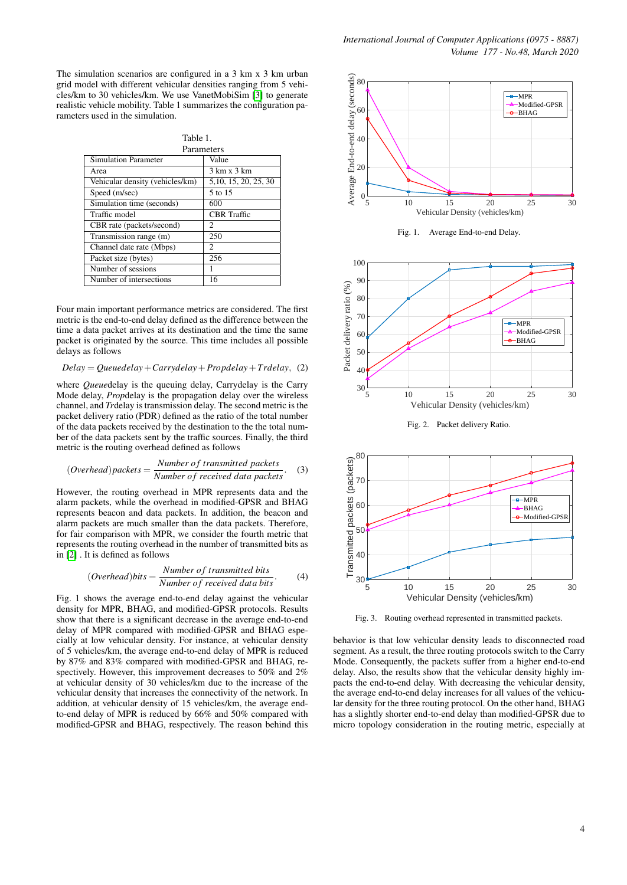The simulation scenarios are configured in a 3 km x 3 km urban grid model with different vehicular densities ranging from 5 vehicles/km to 30 vehicles/km. We use VanetMobiSim [\[3\]](#page-4-3) to generate realistic vehicle mobility. Table 1 summarizes the configuration parameters used in the simulation.

| г<br>יו נ<br>╭ |  |
|----------------|--|
|                |  |

| Parameters                      |                       |  |
|---------------------------------|-----------------------|--|
| <b>Simulation Parameter</b>     | Value                 |  |
| Area                            | 3 km x 3 km           |  |
| Vehicular density (vehicles/km) | 5, 10, 15, 20, 25, 30 |  |
| Speed (m/sec)                   | 5 to 15               |  |
| Simulation time (seconds)       | 600                   |  |
| Traffic model                   | <b>CBR</b> Traffic    |  |
| CBR rate (packets/second)       | $\mathfrak{D}$        |  |
| Transmission range (m)          | 250                   |  |
| Channel date rate (Mbps)        | 2                     |  |
| Packet size (bytes)             | 256                   |  |
| Number of sessions              | 1                     |  |
| Number of intersections         | 16                    |  |
|                                 |                       |  |

Four main important performance metrics are considered. The first metric is the end-to-end delay defined as the difference between the time a data packet arrives at its destination and the time the same packet is originated by the source. This time includes all possible delays as follows

*Delay* = *Queuedelay*+*Carrydelay*+*Propdelay*+*Trdelay*, (2)

where *Queue*delay is the queuing delay, Carrydelay is the Carry Mode delay, *Prop*delay is the propagation delay over the wireless channel, and *Tr*delay is transmission delay. The second metric is the packet delivery ratio (PDR) defined as the ratio of the total number of the data packets received by the destination to the the total number of the data packets sent by the traffic sources. Finally, the third metric is the routing overhead defined as follows

(*Overhead*)*packets* = 
$$
\frac{Number\ of\ transmitted\ packets}{Number\ of\ received\ data\ packets}
$$
 (3)

However, the routing overhead in MPR represents data and the alarm packets, while the overhead in modified-GPSR and BHAG represents beacon and data packets. In addition, the beacon and alarm packets are much smaller than the data packets. Therefore, for fair comparison with MPR, we consider the fourth metric that represents the routing overhead in the number of transmitted bits as in [\[2\]](#page-4-2) . It is defined as follows

(*Overhead*)*bits* = 
$$
\frac{Number\ of\ transmitted\ bits}{Number\ of\ received\ data\ bits}
$$
. (4)

Fig. 1 shows the average end-to-end delay against the vehicular density for MPR, BHAG, and modified-GPSR protocols. Results show that there is a significant decrease in the average end-to-end delay of MPR compared with modified-GPSR and BHAG especially at low vehicular density. For instance, at vehicular density of 5 vehicles/km, the average end-to-end delay of MPR is reduced by 87% and 83% compared with modified-GPSR and BHAG, respectively. However, this improvement decreases to 50% and 2% at vehicular density of 30 vehicles/km due to the increase of the vehicular density that increases the connectivity of the network. In addition, at vehicular density of 15 vehicles/km, the average endto-end delay of MPR is reduced by 66% and 50% compared with modified-GPSR and BHAG, respectively. The reason behind this



Fig. 1. Average End-to-end Delay.



Fig. 2. Packet delivery Ratio.



Fig. 3. Routing overhead represented in transmitted packets.

behavior is that low vehicular density leads to disconnected road segment. As a result, the three routing protocols switch to the Carry Mode. Consequently, the packets suffer from a higher end-to-end delay. Also, the results show that the vehicular density highly impacts the end-to-end delay. With decreasing the vehicular density, the average end-to-end delay increases for all values of the vehicular density for the three routing protocol. On the other hand, BHAG has a slightly shorter end-to-end delay than modified-GPSR due to micro topology consideration in the routing metric, especially at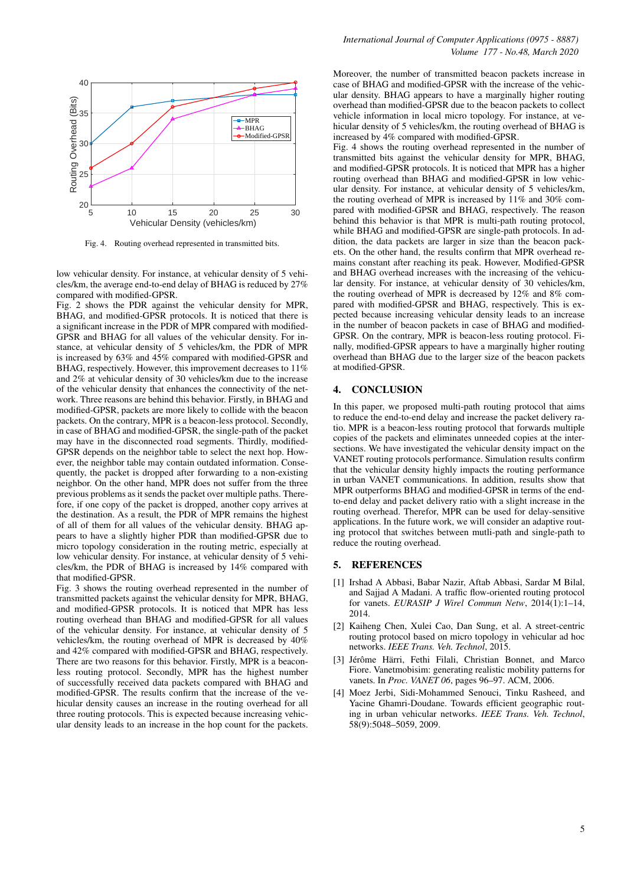

Fig. 4. Routing overhead represented in transmitted bits.

low vehicular density. For instance, at vehicular density of 5 vehicles/km, the average end-to-end delay of BHAG is reduced by 27% compared with modified-GPSR.

Fig. 2 shows the PDR against the vehicular density for MPR, BHAG, and modified-GPSR protocols. It is noticed that there is a significant increase in the PDR of MPR compared with modified-GPSR and BHAG for all values of the vehicular density. For instance, at vehicular density of 5 vehicles/km, the PDR of MPR is increased by 63% and 45% compared with modified-GPSR and BHAG, respectively. However, this improvement decreases to 11% and 2% at vehicular density of 30 vehicles/km due to the increase of the vehicular density that enhances the connectivity of the network. Three reasons are behind this behavior. Firstly, in BHAG and modified-GPSR, packets are more likely to collide with the beacon packets. On the contrary, MPR is a beacon-less protocol. Secondly, in case of BHAG and modified-GPSR, the single-path of the packet may have in the disconnected road segments. Thirdly, modified-GPSR depends on the neighbor table to select the next hop. However, the neighbor table may contain outdated information. Consequently, the packet is dropped after forwarding to a non-existing neighbor. On the other hand, MPR does not suffer from the three previous problems as it sends the packet over multiple paths. Therefore, if one copy of the packet is dropped, another copy arrives at the destination. As a result, the PDR of MPR remains the highest of all of them for all values of the vehicular density. BHAG appears to have a slightly higher PDR than modified-GPSR due to micro topology consideration in the routing metric, especially at low vehicular density. For instance, at vehicular density of 5 vehicles/km, the PDR of BHAG is increased by 14% compared with that modified-GPSR.

Fig. 3 shows the routing overhead represented in the number of transmitted packets against the vehicular density for MPR, BHAG, and modified-GPSR protocols. It is noticed that MPR has less routing overhead than BHAG and modified-GPSR for all values of the vehicular density. For instance, at vehicular density of 5 vehicles/km, the routing overhead of MPR is decreased by 40% and 42% compared with modified-GPSR and BHAG, respectively. There are two reasons for this behavior. Firstly, MPR is a beaconless routing protocol. Secondly, MPR has the highest number of successfully received data packets compared with BHAG and modified-GPSR. The results confirm that the increase of the vehicular density causes an increase in the routing overhead for all three routing protocols. This is expected because increasing vehicular density leads to an increase in the hop count for the packets.

Moreover, the number of transmitted beacon packets increase in case of BHAG and modified-GPSR with the increase of the vehicular density. BHAG appears to have a marginally higher routing overhead than modified-GPSR due to the beacon packets to collect vehicle information in local micro topology. For instance, at vehicular density of 5 vehicles/km, the routing overhead of BHAG is increased by 4% compared with modified-GPSR.

Fig. 4 shows the routing overhead represented in the number of transmitted bits against the vehicular density for MPR, BHAG, and modified-GPSR protocols. It is noticed that MPR has a higher routing overhead than BHAG and modified-GPSR in low vehicular density. For instance, at vehicular density of 5 vehicles/km, the routing overhead of MPR is increased by 11% and 30% compared with modified-GPSR and BHAG, respectively. The reason behind this behavior is that MPR is multi-path routing protocol, while BHAG and modified-GPSR are single-path protocols. In addition, the data packets are larger in size than the beacon packets. On the other hand, the results confirm that MPR overhead remains constant after reaching its peak. However, Modified-GPSR and BHAG overhead increases with the increasing of the vehicular density. For instance, at vehicular density of 30 vehicles/km, the routing overhead of MPR is decreased by 12% and 8% compared with modified-GPSR and BHAG, respectively. This is expected because increasing vehicular density leads to an increase in the number of beacon packets in case of BHAG and modified-GPSR. On the contrary, MPR is beacon-less routing protocol. Finally, modified-GPSR appears to have a marginally higher routing overhead than BHAG due to the larger size of the beacon packets at modified-GPSR.

#### 4. CONCLUSION

In this paper, we proposed multi-path routing protocol that aims to reduce the end-to-end delay and increase the packet delivery ratio. MPR is a beacon-less routing protocol that forwards multiple copies of the packets and eliminates unneeded copies at the intersections. We have investigated the vehicular density impact on the VANET routing protocols performance. Simulation results confirm that the vehicular density highly impacts the routing performance in urban VANET communications. In addition, results show that MPR outperforms BHAG and modified-GPSR in terms of the endto-end delay and packet delivery ratio with a slight increase in the routing overhead. Therefor, MPR can be used for delay-sensitive applications. In the future work, we will consider an adaptive routing protocol that switches between mutli-path and single-path to reduce the routing overhead.

## 5. REFERENCES

- <span id="page-4-1"></span>[1] Irshad A Abbasi, Babar Nazir, Aftab Abbasi, Sardar M Bilal, and Sajjad A Madani. A traffic flow-oriented routing protocol for vanets. *EURASIP J Wirel Commun Netw*, 2014(1):1–14, 2014.
- <span id="page-4-2"></span>[2] Kaiheng Chen, Xulei Cao, Dan Sung, et al. A street-centric routing protocol based on micro topology in vehicular ad hoc networks. *IEEE Trans. Veh. Technol*, 2015.
- <span id="page-4-3"></span>[3] Jérôme Härri, Fethi Filali, Christian Bonnet, and Marco Fiore. Vanetmobisim: generating realistic mobility patterns for vanets. In *Proc. VANET 06*, pages 96–97. ACM, 2006.
- <span id="page-4-0"></span>[4] Moez Jerbi, Sidi-Mohammed Senouci, Tinku Rasheed, and Yacine Ghamri-Doudane. Towards efficient geographic routing in urban vehicular networks. *IEEE Trans. Veh. Technol*, 58(9):5048–5059, 2009.